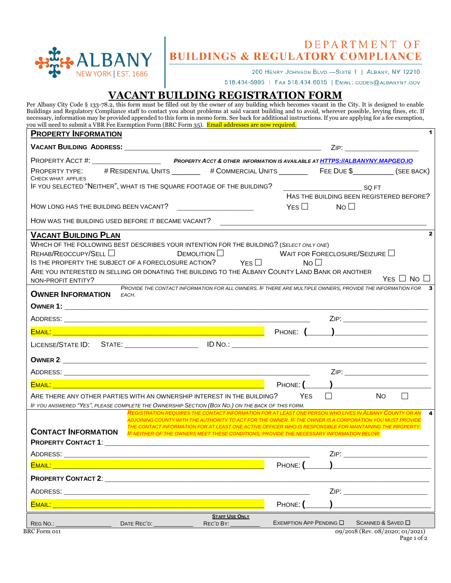

# DEPARTMENT OF **BUILDINGS & REGULATORY COMPLIANCE**

200 HENRY JOHNSON BLVD.-SUITE 1 | ALBANY, NY 12210

518.434-5995 | FAX 518.434.6015 | EMAIL: CODES@ALBANYNY.GOV

# **VACANT BUILDING REGISTRATION FORM**

|                                           | <b>PROPERTY INFORMATION</b>                        |                                                                                                                                                                                                                                 |                 |                                          |     |                      |
|-------------------------------------------|----------------------------------------------------|---------------------------------------------------------------------------------------------------------------------------------------------------------------------------------------------------------------------------------|-----------------|------------------------------------------|-----|----------------------|
|                                           |                                                    |                                                                                                                                                                                                                                 |                 |                                          |     |                      |
|                                           |                                                    | PROPERTY ACCT #: ________________________________PROPERTY ACCT & OTHER INFORMATION IS AVAILABLE AT <u>HTTPS://ALBANYNY.MAPGEO.IO</u>                                                                                            |                 |                                          |     |                      |
|                                           |                                                    | PROPERTY TYPE: # RESIDENTIAL UNITS ________ # COMMERCIAL UNITS ________ FEE DUE \$__________ (SEE BACK)                                                                                                                         |                 |                                          |     |                      |
| CHECK WHAT APPLIES                        |                                                    | IF YOU SELECTED "NEITHER", WHAT IS THE SQUARE FOOTAGE OF THE BUILDING?                                                                                                                                                          |                 | <b>SQ FT</b>                             |     |                      |
|                                           |                                                    |                                                                                                                                                                                                                                 |                 | HAS THE BUILDING BEEN REGISTERED BEFORE? |     |                      |
|                                           | HOW LONG HAS THE BUILDING BEEN VACANT?             |                                                                                                                                                                                                                                 | $Yes \Box$      | No <sub>1</sub>                          |     |                      |
|                                           | HOW WAS THE BUILDING USED BEFORE IT BECAME VACANT? |                                                                                                                                                                                                                                 |                 |                                          |     |                      |
| <b>VACANT BUILDING PLAN</b>               |                                                    |                                                                                                                                                                                                                                 |                 |                                          |     |                      |
| REHAB/REOCCUPY/SELL<br>NON-PROFIT ENTITY? |                                                    | $D$ EMOLITION $\square$<br>IS THE PROPERTY THE SUBJECT OF A FORECLOSURE ACTION? $Y_{ES}$<br>ARE YOU INTERESTED IN SELLING OR DONATING THE BUILDING TO THE ALBANY COUNTY LAND BANK OR ANOTHER                                    | No <sub>1</sub> | WAIT FOR FORECLOSURE/SEIZURE $\Box$      |     | YES $\Box$ No $\Box$ |
| <b>OWNER INFORMATION</b>                  | EACH.                                              | PROVIDE THE CONTACT INFORMATION FOR ALL OWNERS. IF THERE ARE MULTIPLE OWNERS, PROVIDE THE INFORMATION FOR 3                                                                                                                     |                 |                                          |     |                      |
|                                           |                                                    |                                                                                                                                                                                                                                 |                 |                                          |     |                      |
|                                           |                                                    |                                                                                                                                                                                                                                 |                 | ZIP: ___________________________         |     |                      |
|                                           |                                                    |                                                                                                                                                                                                                                 |                 |                                          |     |                      |
|                                           |                                                    |                                                                                                                                                                                                                                 |                 |                                          |     |                      |
|                                           |                                                    |                                                                                                                                                                                                                                 |                 |                                          |     |                      |
|                                           |                                                    |                                                                                                                                                                                                                                 |                 |                                          |     |                      |
|                                           |                                                    |                                                                                                                                                                                                                                 |                 |                                          |     |                      |
|                                           |                                                    | ARE THERE ANY OTHER PARTIES WITH AN OWNERSHIP INTEREST IN THE BUILDING?                                                                                                                                                         | <b>YES</b>      | $\Box$                                   | No. | $\perp$              |
|                                           |                                                    | IF YOU ANSWERED "YES", PLEASE COMPLETE THE OWNERSHIP SECTION (BOX NO.) ON THE BACK OF THIS FORM.                                                                                                                                |                 |                                          |     |                      |
|                                           |                                                    | REGISTRATION REQUIRES THE CONTACT INFORMATION FOR AT LEAST ONE PERSON WHO LIVES IN ALBANY COUNTY OR AN<br>ADJOINING COUNTY WITH THE AUTHORITY TO ACT FOR THE OWNER. <b>I</b> F THE OWNER IS A CORPORATION YOU MUST PROVIDE      |                 |                                          |     | 4                    |
|                                           |                                                    | THE CONTACT INFORMATION FOR AT LEAST ONE ACTIVE OFFICER WHO IS RESPONSIBLE FOR MAINTAINING THE PROPERTY.<br><b>CONTACT INFORMATION</b> IF NEITHER OF THE OWNERS MEET THESE CONDITIONS, PROVIDE THE NECESSARY INFORMATION BELOW. |                 |                                          |     |                      |
|                                           |                                                    |                                                                                                                                                                                                                                 |                 | ZIP: ______________________________      |     |                      |
|                                           |                                                    |                                                                                                                                                                                                                                 |                 |                                          |     |                      |
|                                           |                                                    |                                                                                                                                                                                                                                 |                 |                                          |     |                      |
|                                           |                                                    |                                                                                                                                                                                                                                 |                 | ZIP: _____________________________       |     |                      |
|                                           |                                                    |                                                                                                                                                                                                                                 |                 |                                          |     |                      |

Page 1 of 2